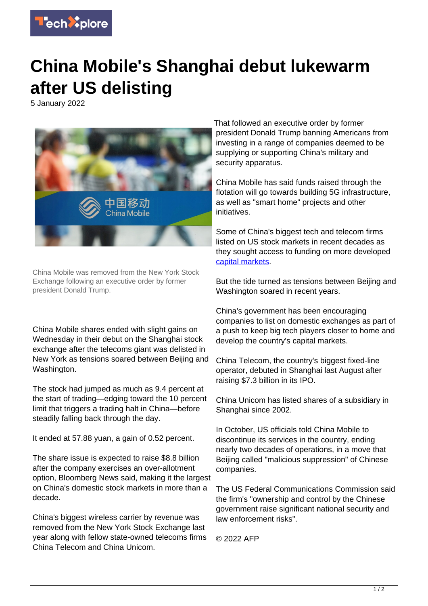

## **China Mobile's Shanghai debut lukewarm after US delisting**

5 January 2022



China Mobile was removed from the New York Stock Exchange following an executive order by former president Donald Trump.

China Mobile shares ended with slight gains on Wednesday in their debut on the Shanghai stock exchange after the telecoms giant was delisted in New York as tensions soared between Beijing and Washington.

The stock had jumped as much as 9.4 percent at the start of trading—edging toward the 10 percent limit that triggers a trading halt in China—before steadily falling back through the day.

It ended at 57.88 yuan, a gain of 0.52 percent.

The share issue is expected to raise \$8.8 billion after the company exercises an over-allotment option, Bloomberg News said, making it the largest on China's domestic stock markets in more than a decade.

China's biggest wireless carrier by revenue was removed from the New York Stock Exchange last year along with fellow state-owned telecoms firms China Telecom and China Unicom.

That followed an executive order by former president Donald Trump banning Americans from investing in a range of companies deemed to be supplying or supporting China's military and security apparatus.

China Mobile has said funds raised through the flotation will go towards building 5G infrastructure, as well as "smart home" projects and other initiatives.

Some of China's biggest tech and telecom firms listed on US stock markets in recent decades as they sought access to funding on more developed [capital markets](https://techxplore.com/tags/capital+markets/).

But the tide turned as tensions between Beijing and Washington soared in recent years.

China's government has been encouraging companies to list on domestic exchanges as part of a push to keep big tech players closer to home and develop the country's capital markets.

China Telecom, the country's biggest fixed-line operator, debuted in Shanghai last August after raising \$7.3 billion in its IPO.

China Unicom has listed shares of a subsidiary in Shanghai since 2002.

In October, US officials told China Mobile to discontinue its services in the country, ending nearly two decades of operations, in a move that Beijing called "malicious suppression" of Chinese companies.

The US Federal Communications Commission said the firm's "ownership and control by the Chinese government raise significant national security and law enforcement risks".

© 2022 AFP